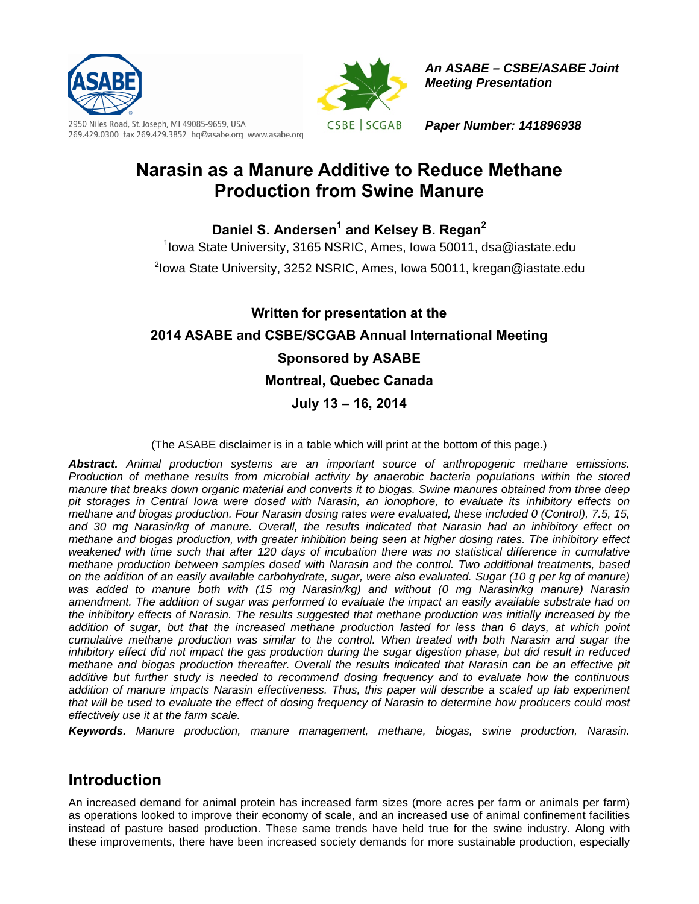

2950 Niles Road, St. Joseph, MI 49085-9659, USA 269.429.0300 fax 269.429.3852 hq@asabe.org www.asabe.org



*An ASABE – CSBE/ASABE Joint Meeting Presentation* 

*Paper Number: 141896938* 

# **Narasin as a Manure Additive to Reduce Methane Production from Swine Manure**

**Daniel S. Andersen<sup>1</sup> and Kelsey B. Regan2**

1 Iowa State University, 3165 NSRIC, Ames, Iowa 50011, dsa@iastate.edu <sup>2</sup>lowa State University, 3252 NSRIC, Ames, Iowa 50011, kregan@iastate.edu

**Written for presentation at the 2014 ASABE and CSBE/SCGAB Annual International Meeting Sponsored by ASABE Montreal, Quebec Canada** 

**July 13 – 16, 2014** 

(The ASABE disclaimer is in a table which will print at the bottom of this page.)

*Abstract. Animal production systems are an important source of anthropogenic methane emissions. Production of methane results from microbial activity by anaerobic bacteria populations within the stored manure that breaks down organic material and converts it to biogas. Swine manures obtained from three deep pit storages in Central Iowa were dosed with Narasin, an ionophore, to evaluate its inhibitory effects on methane and biogas production. Four Narasin dosing rates were evaluated, these included 0 (Control), 7.5, 15, and 30 mg Narasin/kg of manure. Overall, the results indicated that Narasin had an inhibitory effect on methane and biogas production, with greater inhibition being seen at higher dosing rates. The inhibitory effect*  weakened with time such that after 120 days of incubation there was no statistical difference in cumulative *methane production between samples dosed with Narasin and the control. Two additional treatments, based on the addition of an easily available carbohydrate, sugar, were also evaluated. Sugar (10 g per kg of manure) was added to manure both with (15 mg Narasin/kg) and without (0 mg Narasin/kg manure) Narasin amendment. The addition of sugar was performed to evaluate the impact an easily available substrate had on the inhibitory effects of Narasin. The results suggested that methane production was initially increased by the addition of sugar, but that the increased methane production lasted for less than 6 days, at which point cumulative methane production was similar to the control. When treated with both Narasin and sugar the inhibitory effect did not impact the gas production during the sugar digestion phase, but did result in reduced methane and biogas production thereafter. Overall the results indicated that Narasin can be an effective pit additive but further study is needed to recommend dosing frequency and to evaluate how the continuous addition of manure impacts Narasin effectiveness. Thus, this paper will describe a scaled up lab experiment that will be used to evaluate the effect of dosing frequency of Narasin to determine how producers could most effectively use it at the farm scale.* 

*Keywords. Manure production, manure management, methane, biogas, swine production, Narasin.* 

## **Introduction**

An increased demand for animal protein has increased farm sizes (more acres per farm or animals per farm) as operations looked to improve their economy of scale, and an increased use of animal confinement facilities instead of pasture based production. These same trends have held true for the swine industry. Along with these improvements, there have been increased society demands for more sustainable production, especially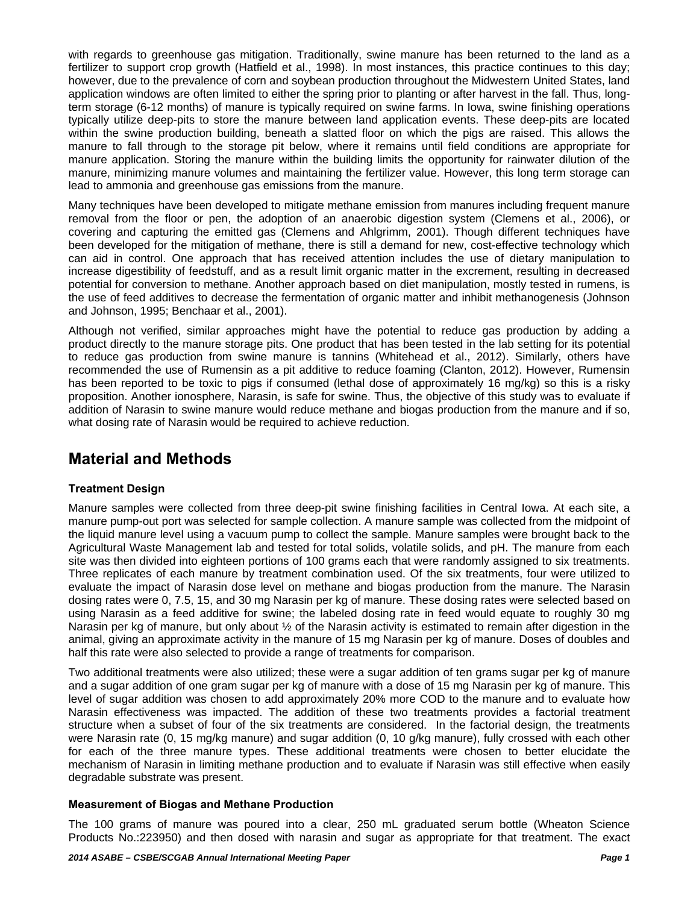with regards to greenhouse gas mitigation. Traditionally, swine manure has been returned to the land as a fertilizer to support crop growth (Hatfield et al., 1998). In most instances, this practice continues to this day; however, due to the prevalence of corn and soybean production throughout the Midwestern United States, land application windows are often limited to either the spring prior to planting or after harvest in the fall. Thus, longterm storage (6-12 months) of manure is typically required on swine farms. In Iowa, swine finishing operations typically utilize deep-pits to store the manure between land application events. These deep-pits are located within the swine production building, beneath a slatted floor on which the pigs are raised. This allows the manure to fall through to the storage pit below, where it remains until field conditions are appropriate for manure application. Storing the manure within the building limits the opportunity for rainwater dilution of the manure, minimizing manure volumes and maintaining the fertilizer value. However, this long term storage can lead to ammonia and greenhouse gas emissions from the manure.

Many techniques have been developed to mitigate methane emission from manures including frequent manure removal from the floor or pen, the adoption of an anaerobic digestion system (Clemens et al., 2006), or covering and capturing the emitted gas (Clemens and Ahlgrimm, 2001). Though different techniques have been developed for the mitigation of methane, there is still a demand for new, cost-effective technology which can aid in control. One approach that has received attention includes the use of dietary manipulation to increase digestibility of feedstuff, and as a result limit organic matter in the excrement, resulting in decreased potential for conversion to methane. Another approach based on diet manipulation, mostly tested in rumens, is the use of feed additives to decrease the fermentation of organic matter and inhibit methanogenesis (Johnson and Johnson, 1995; Benchaar et al., 2001).

Although not verified, similar approaches might have the potential to reduce gas production by adding a product directly to the manure storage pits. One product that has been tested in the lab setting for its potential to reduce gas production from swine manure is tannins (Whitehead et al., 2012). Similarly, others have recommended the use of Rumensin as a pit additive to reduce foaming (Clanton, 2012). However, Rumensin has been reported to be toxic to pigs if consumed (lethal dose of approximately 16 mg/kg) so this is a risky proposition. Another ionosphere, Narasin, is safe for swine. Thus, the objective of this study was to evaluate if addition of Narasin to swine manure would reduce methane and biogas production from the manure and if so, what dosing rate of Narasin would be required to achieve reduction.

## **Material and Methods**

#### **Treatment Design**

Manure samples were collected from three deep-pit swine finishing facilities in Central Iowa. At each site, a manure pump-out port was selected for sample collection. A manure sample was collected from the midpoint of the liquid manure level using a vacuum pump to collect the sample. Manure samples were brought back to the Agricultural Waste Management lab and tested for total solids, volatile solids, and pH. The manure from each site was then divided into eighteen portions of 100 grams each that were randomly assigned to six treatments. Three replicates of each manure by treatment combination used. Of the six treatments, four were utilized to evaluate the impact of Narasin dose level on methane and biogas production from the manure. The Narasin dosing rates were 0, 7.5, 15, and 30 mg Narasin per kg of manure. These dosing rates were selected based on using Narasin as a feed additive for swine; the labeled dosing rate in feed would equate to roughly 30 mg Narasin per kg of manure, but only about ½ of the Narasin activity is estimated to remain after digestion in the animal, giving an approximate activity in the manure of 15 mg Narasin per kg of manure. Doses of doubles and half this rate were also selected to provide a range of treatments for comparison.

Two additional treatments were also utilized; these were a sugar addition of ten grams sugar per kg of manure and a sugar addition of one gram sugar per kg of manure with a dose of 15 mg Narasin per kg of manure. This level of sugar addition was chosen to add approximately 20% more COD to the manure and to evaluate how Narasin effectiveness was impacted. The addition of these two treatments provides a factorial treatment structure when a subset of four of the six treatments are considered. In the factorial design, the treatments were Narasin rate (0, 15 mg/kg manure) and sugar addition (0, 10 g/kg manure), fully crossed with each other for each of the three manure types. These additional treatments were chosen to better elucidate the mechanism of Narasin in limiting methane production and to evaluate if Narasin was still effective when easily degradable substrate was present.

#### **Measurement of Biogas and Methane Production**

The 100 grams of manure was poured into a clear, 250 mL graduated serum bottle (Wheaton Science Products No.:223950) and then dosed with narasin and sugar as appropriate for that treatment. The exact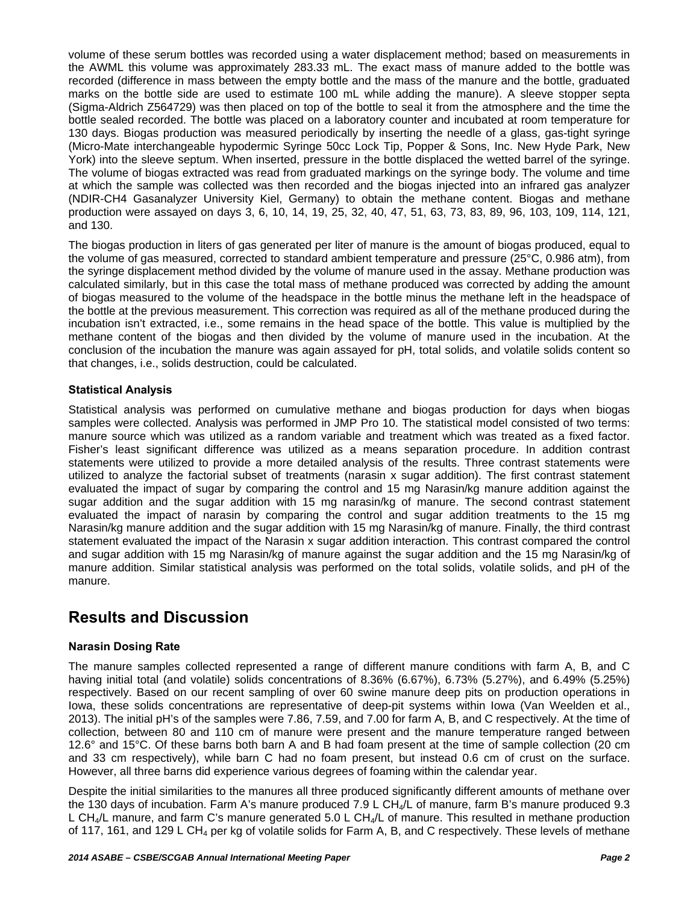volume of these serum bottles was recorded using a water displacement method; based on measurements in the AWML this volume was approximately 283.33 mL. The exact mass of manure added to the bottle was recorded (difference in mass between the empty bottle and the mass of the manure and the bottle, graduated marks on the bottle side are used to estimate 100 mL while adding the manure). A sleeve stopper septa (Sigma-Aldrich Z564729) was then placed on top of the bottle to seal it from the atmosphere and the time the bottle sealed recorded. The bottle was placed on a laboratory counter and incubated at room temperature for 130 days. Biogas production was measured periodically by inserting the needle of a glass, gas-tight syringe (Micro-Mate interchangeable hypodermic Syringe 50cc Lock Tip, Popper & Sons, Inc. New Hyde Park, New York) into the sleeve septum. When inserted, pressure in the bottle displaced the wetted barrel of the syringe. The volume of biogas extracted was read from graduated markings on the syringe body. The volume and time at which the sample was collected was then recorded and the biogas injected into an infrared gas analyzer (NDIR-CH4 Gasanalyzer University Kiel, Germany) to obtain the methane content. Biogas and methane production were assayed on days 3, 6, 10, 14, 19, 25, 32, 40, 47, 51, 63, 73, 83, 89, 96, 103, 109, 114, 121, and 130.

The biogas production in liters of gas generated per liter of manure is the amount of biogas produced, equal to the volume of gas measured, corrected to standard ambient temperature and pressure (25°C, 0.986 atm), from the syringe displacement method divided by the volume of manure used in the assay. Methane production was calculated similarly, but in this case the total mass of methane produced was corrected by adding the amount of biogas measured to the volume of the headspace in the bottle minus the methane left in the headspace of the bottle at the previous measurement. This correction was required as all of the methane produced during the incubation isn't extracted, i.e., some remains in the head space of the bottle. This value is multiplied by the methane content of the biogas and then divided by the volume of manure used in the incubation. At the conclusion of the incubation the manure was again assayed for pH, total solids, and volatile solids content so that changes, i.e., solids destruction, could be calculated.

#### **Statistical Analysis**

Statistical analysis was performed on cumulative methane and biogas production for days when biogas samples were collected. Analysis was performed in JMP Pro 10. The statistical model consisted of two terms: manure source which was utilized as a random variable and treatment which was treated as a fixed factor. Fisher's least significant difference was utilized as a means separation procedure. In addition contrast statements were utilized to provide a more detailed analysis of the results. Three contrast statements were utilized to analyze the factorial subset of treatments (narasin x sugar addition). The first contrast statement evaluated the impact of sugar by comparing the control and 15 mg Narasin/kg manure addition against the sugar addition and the sugar addition with 15 mg narasin/kg of manure. The second contrast statement evaluated the impact of narasin by comparing the control and sugar addition treatments to the 15 mg Narasin/kg manure addition and the sugar addition with 15 mg Narasin/kg of manure. Finally, the third contrast statement evaluated the impact of the Narasin x sugar addition interaction. This contrast compared the control and sugar addition with 15 mg Narasin/kg of manure against the sugar addition and the 15 mg Narasin/kg of manure addition. Similar statistical analysis was performed on the total solids, volatile solids, and pH of the manure.

## **Results and Discussion**

#### **Narasin Dosing Rate**

The manure samples collected represented a range of different manure conditions with farm A, B, and C having initial total (and volatile) solids concentrations of 8.36% (6.67%), 6.73% (5.27%), and 6.49% (5.25%) respectively. Based on our recent sampling of over 60 swine manure deep pits on production operations in Iowa, these solids concentrations are representative of deep-pit systems within Iowa (Van Weelden et al., 2013). The initial pH's of the samples were 7.86, 7.59, and 7.00 for farm A, B, and C respectively. At the time of collection, between 80 and 110 cm of manure were present and the manure temperature ranged between 12.6° and 15°C. Of these barns both barn A and B had foam present at the time of sample collection (20 cm and 33 cm respectively), while barn C had no foam present, but instead 0.6 cm of crust on the surface. However, all three barns did experience various degrees of foaming within the calendar year.

Despite the initial similarities to the manures all three produced significantly different amounts of methane over the 130 days of incubation. Farm A's manure produced 7.9 L CH<sub>4</sub>/L of manure, farm B's manure produced 9.3 L CH<sub>4</sub>/L manure, and farm C's manure generated 5.0 L CH<sub>4</sub>/L of manure. This resulted in methane production of 117, 161, and 129 L CH<sub>4</sub> per kg of volatile solids for Farm A, B, and C respectively. These levels of methane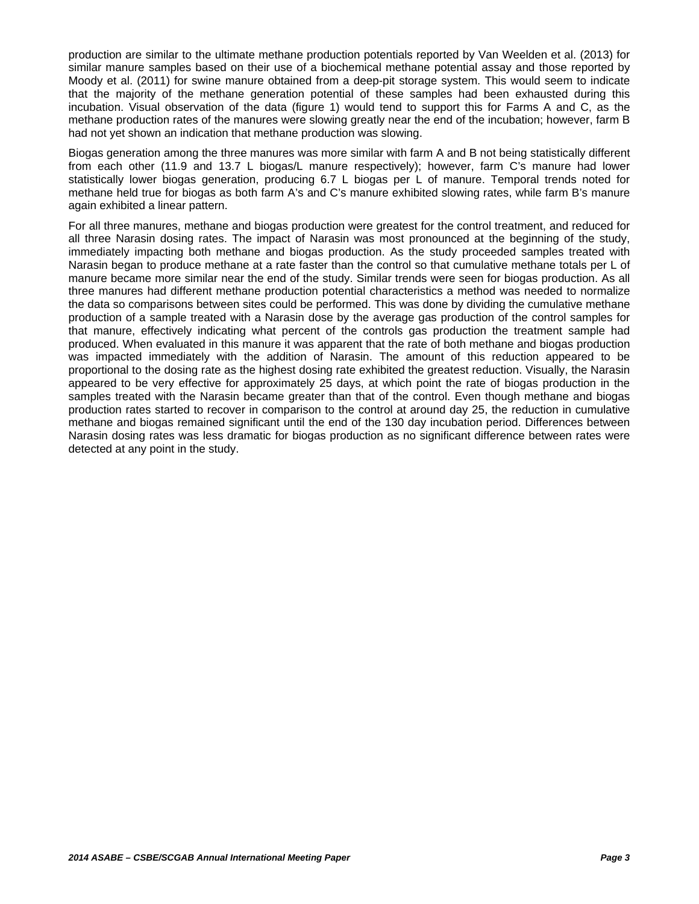production are similar to the ultimate methane production potentials reported by Van Weelden et al. (2013) for similar manure samples based on their use of a biochemical methane potential assay and those reported by Moody et al. (2011) for swine manure obtained from a deep-pit storage system. This would seem to indicate that the majority of the methane generation potential of these samples had been exhausted during this incubation. Visual observation of the data (figure 1) would tend to support this for Farms A and C, as the methane production rates of the manures were slowing greatly near the end of the incubation; however, farm B had not yet shown an indication that methane production was slowing.

Biogas generation among the three manures was more similar with farm A and B not being statistically different from each other (11.9 and 13.7 L biogas/L manure respectively); however, farm C's manure had lower statistically lower biogas generation, producing 6.7 L biogas per L of manure. Temporal trends noted for methane held true for biogas as both farm A's and C's manure exhibited slowing rates, while farm B's manure again exhibited a linear pattern.

For all three manures, methane and biogas production were greatest for the control treatment, and reduced for all three Narasin dosing rates. The impact of Narasin was most pronounced at the beginning of the study, immediately impacting both methane and biogas production. As the study proceeded samples treated with Narasin began to produce methane at a rate faster than the control so that cumulative methane totals per L of manure became more similar near the end of the study. Similar trends were seen for biogas production. As all three manures had different methane production potential characteristics a method was needed to normalize the data so comparisons between sites could be performed. This was done by dividing the cumulative methane production of a sample treated with a Narasin dose by the average gas production of the control samples for that manure, effectively indicating what percent of the controls gas production the treatment sample had produced. When evaluated in this manure it was apparent that the rate of both methane and biogas production was impacted immediately with the addition of Narasin. The amount of this reduction appeared to be proportional to the dosing rate as the highest dosing rate exhibited the greatest reduction. Visually, the Narasin appeared to be very effective for approximately 25 days, at which point the rate of biogas production in the samples treated with the Narasin became greater than that of the control. Even though methane and biogas production rates started to recover in comparison to the control at around day 25, the reduction in cumulative methane and biogas remained significant until the end of the 130 day incubation period. Differences between Narasin dosing rates was less dramatic for biogas production as no significant difference between rates were detected at any point in the study.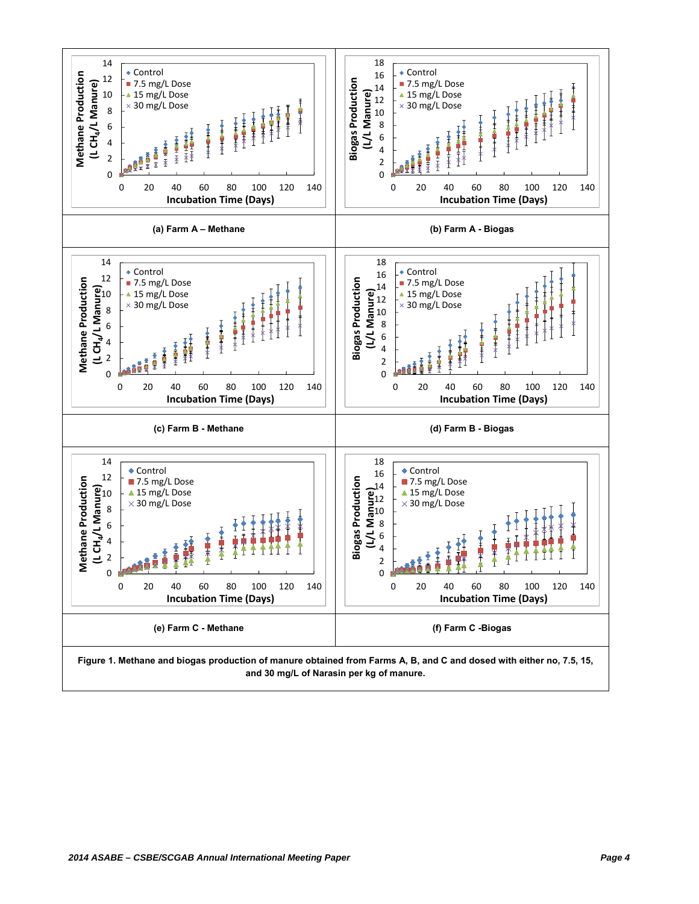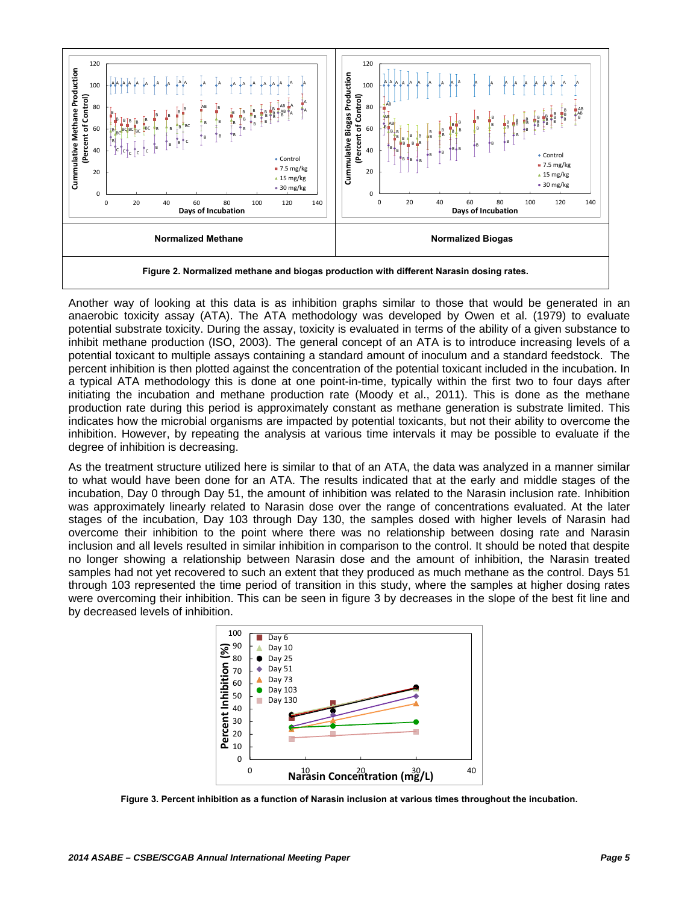

Another way of looking at this data is as inhibition graphs similar to those that would be generated in an anaerobic toxicity assay (ATA). The ATA methodology was developed by Owen et al. (1979) to evaluate potential substrate toxicity. During the assay, toxicity is evaluated in terms of the ability of a given substance to inhibit methane production (ISO, 2003). The general concept of an ATA is to introduce increasing levels of a potential toxicant to multiple assays containing a standard amount of inoculum and a standard feedstock. The percent inhibition is then plotted against the concentration of the potential toxicant included in the incubation. In a typical ATA methodology this is done at one point-in-time, typically within the first two to four days after initiating the incubation and methane production rate (Moody et al., 2011). This is done as the methane production rate during this period is approximately constant as methane generation is substrate limited. This indicates how the microbial organisms are impacted by potential toxicants, but not their ability to overcome the inhibition. However, by repeating the analysis at various time intervals it may be possible to evaluate if the degree of inhibition is decreasing.

As the treatment structure utilized here is similar to that of an ATA, the data was analyzed in a manner similar to what would have been done for an ATA. The results indicated that at the early and middle stages of the incubation, Day 0 through Day 51, the amount of inhibition was related to the Narasin inclusion rate. Inhibition was approximately linearly related to Narasin dose over the range of concentrations evaluated. At the later stages of the incubation, Day 103 through Day 130, the samples dosed with higher levels of Narasin had overcome their inhibition to the point where there was no relationship between dosing rate and Narasin inclusion and all levels resulted in similar inhibition in comparison to the control. It should be noted that despite no longer showing a relationship between Narasin dose and the amount of inhibition, the Narasin treated samples had not yet recovered to such an extent that they produced as much methane as the control. Days 51 through 103 represented the time period of transition in this study, where the samples at higher dosing rates were overcoming their inhibition. This can be seen in figure 3 by decreases in the slope of the best fit line and by decreased levels of inhibition.



**Figure 3. Percent inhibition as a function of Narasin inclusion at various times throughout the incubation.**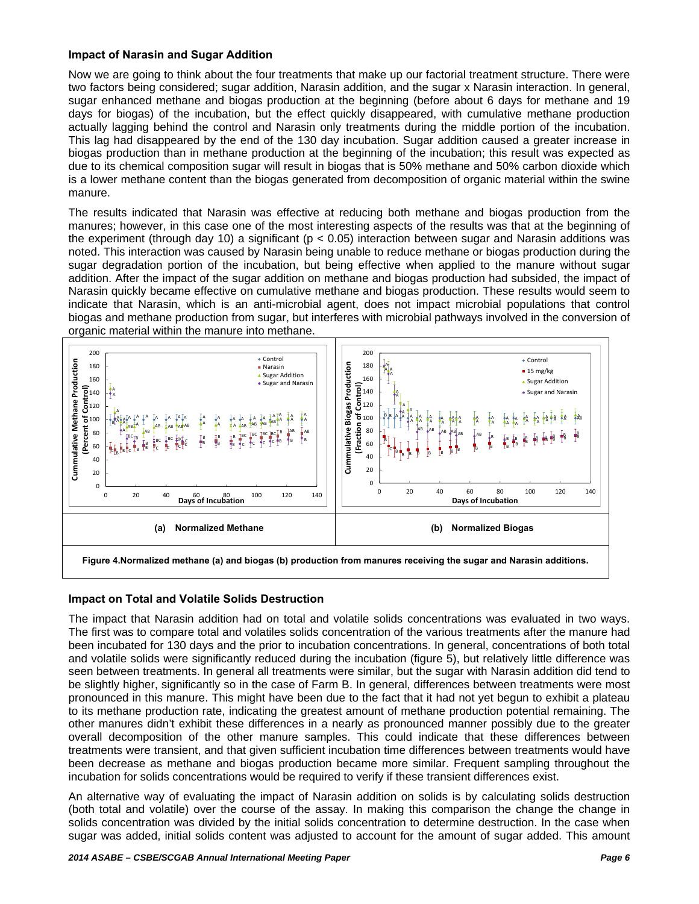#### **Impact of Narasin and Sugar Addition**

Now we are going to think about the four treatments that make up our factorial treatment structure. There were two factors being considered; sugar addition, Narasin addition, and the sugar x Narasin interaction. In general, sugar enhanced methane and biogas production at the beginning (before about 6 days for methane and 19 days for biogas) of the incubation, but the effect quickly disappeared, with cumulative methane production actually lagging behind the control and Narasin only treatments during the middle portion of the incubation. This lag had disappeared by the end of the 130 day incubation. Sugar addition caused a greater increase in biogas production than in methane production at the beginning of the incubation; this result was expected as due to its chemical composition sugar will result in biogas that is 50% methane and 50% carbon dioxide which is a lower methane content than the biogas generated from decomposition of organic material within the swine manure.

The results indicated that Narasin was effective at reducing both methane and biogas production from the manures; however, in this case one of the most interesting aspects of the results was that at the beginning of the experiment (through day 10) a significant ( $p < 0.05$ ) interaction between sugar and Narasin additions was noted. This interaction was caused by Narasin being unable to reduce methane or biogas production during the sugar degradation portion of the incubation, but being effective when applied to the manure without sugar addition. After the impact of the sugar addition on methane and biogas production had subsided, the impact of Narasin quickly became effective on cumulative methane and biogas production. These results would seem to indicate that Narasin, which is an anti-microbial agent, does not impact microbial populations that control biogas and methane production from sugar, but interferes with microbial pathways involved in the conversion of organic material within the manure into methane.



#### **Impact on Total and Volatile Solids Destruction**

The impact that Narasin addition had on total and volatile solids concentrations was evaluated in two ways. The first was to compare total and volatiles solids concentration of the various treatments after the manure had been incubated for 130 days and the prior to incubation concentrations. In general, concentrations of both total and volatile solids were significantly reduced during the incubation (figure 5), but relatively little difference was seen between treatments. In general all treatments were similar, but the sugar with Narasin addition did tend to be slightly higher, significantly so in the case of Farm B. In general, differences between treatments were most pronounced in this manure. This might have been due to the fact that it had not yet begun to exhibit a plateau to its methane production rate, indicating the greatest amount of methane production potential remaining. The other manures didn't exhibit these differences in a nearly as pronounced manner possibly due to the greater overall decomposition of the other manure samples. This could indicate that these differences between treatments were transient, and that given sufficient incubation time differences between treatments would have been decrease as methane and biogas production became more similar. Frequent sampling throughout the incubation for solids concentrations would be required to verify if these transient differences exist.

An alternative way of evaluating the impact of Narasin addition on solids is by calculating solids destruction (both total and volatile) over the course of the assay. In making this comparison the change the change in solids concentration was divided by the initial solids concentration to determine destruction. In the case when sugar was added, initial solids content was adjusted to account for the amount of sugar added. This amount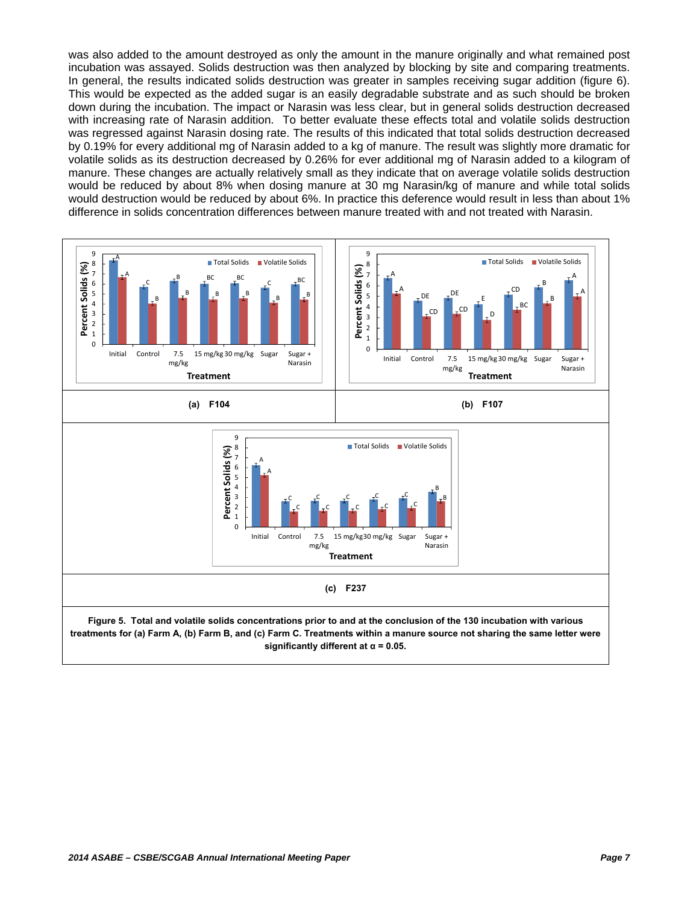was also added to the amount destroyed as only the amount in the manure originally and what remained post incubation was assayed. Solids destruction was then analyzed by blocking by site and comparing treatments. In general, the results indicated solids destruction was greater in samples receiving sugar addition (figure 6). This would be expected as the added sugar is an easily degradable substrate and as such should be broken down during the incubation. The impact or Narasin was less clear, but in general solids destruction decreased with increasing rate of Narasin addition. To better evaluate these effects total and volatile solids destruction was regressed against Narasin dosing rate. The results of this indicated that total solids destruction decreased by 0.19% for every additional mg of Narasin added to a kg of manure. The result was slightly more dramatic for volatile solids as its destruction decreased by 0.26% for ever additional mg of Narasin added to a kilogram of manure. These changes are actually relatively small as they indicate that on average volatile solids destruction would be reduced by about 8% when dosing manure at 30 mg Narasin/kg of manure and while total solids would destruction would be reduced by about 6%. In practice this deference would result in less than about 1% difference in solids concentration differences between manure treated with and not treated with Narasin.

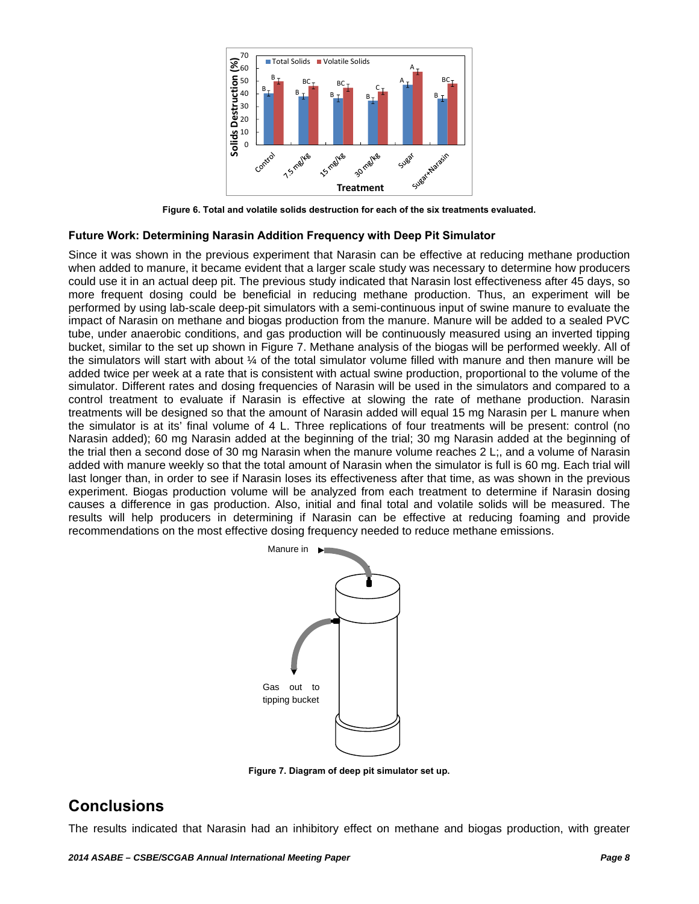

**Figure 6. Total and volatile solids destruction for each of the six treatments evaluated.** 

#### **Future Work: Determining Narasin Addition Frequency with Deep Pit Simulator**

Since it was shown in the previous experiment that Narasin can be effective at reducing methane production when added to manure, it became evident that a larger scale study was necessary to determine how producers could use it in an actual deep pit. The previous study indicated that Narasin lost effectiveness after 45 days, so more frequent dosing could be beneficial in reducing methane production. Thus, an experiment will be performed by using lab-scale deep-pit simulators with a semi-continuous input of swine manure to evaluate the impact of Narasin on methane and biogas production from the manure. Manure will be added to a sealed PVC tube, under anaerobic conditions, and gas production will be continuously measured using an inverted tipping bucket, similar to the set up shown in Figure 7. Methane analysis of the biogas will be performed weekly. All of the simulators will start with about ¼ of the total simulator volume filled with manure and then manure will be added twice per week at a rate that is consistent with actual swine production, proportional to the volume of the simulator. Different rates and dosing frequencies of Narasin will be used in the simulators and compared to a control treatment to evaluate if Narasin is effective at slowing the rate of methane production. Narasin treatments will be designed so that the amount of Narasin added will equal 15 mg Narasin per L manure when the simulator is at its' final volume of 4 L. Three replications of four treatments will be present: control (no Narasin added); 60 mg Narasin added at the beginning of the trial; 30 mg Narasin added at the beginning of the trial then a second dose of 30 mg Narasin when the manure volume reaches 2 L;, and a volume of Narasin added with manure weekly so that the total amount of Narasin when the simulator is full is 60 mg. Each trial will last longer than, in order to see if Narasin loses its effectiveness after that time, as was shown in the previous experiment. Biogas production volume will be analyzed from each treatment to determine if Narasin dosing causes a difference in gas production. Also, initial and final total and volatile solids will be measured. The results will help producers in determining if Narasin can be effective at reducing foaming and provide recommendations on the most effective dosing frequency needed to reduce methane emissions.



**Figure 7. Diagram of deep pit simulator set up.** 

### **Conclusions**

The results indicated that Narasin had an inhibitory effect on methane and biogas production, with greater